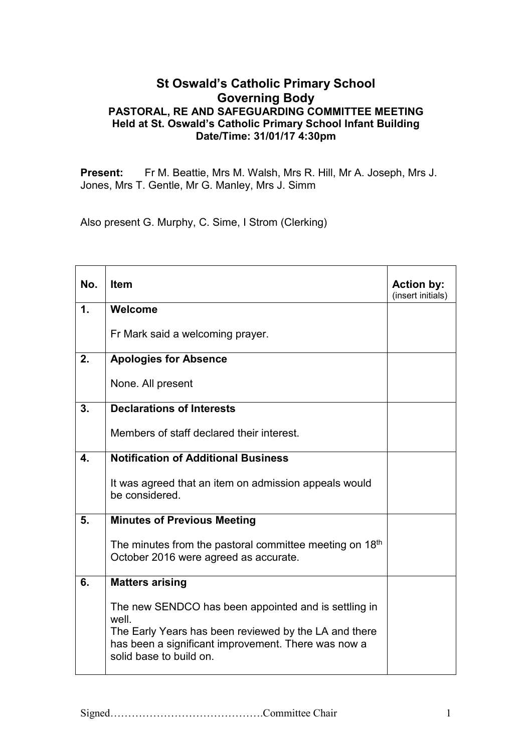## **St Oswald's Catholic Primary School Governing Body PASTORAL, RE AND SAFEGUARDING COMMITTEE MEETING Held at St. Oswald's Catholic Primary School Infant Building Date/Time: 31/01/17 4:30pm**

**Present:** Fr M. Beattie, Mrs M. Walsh, Mrs R. Hill, Mr A. Joseph, Mrs J. Jones, Mrs T. Gentle, Mr G. Manley, Mrs J. Simm

Also present G. Murphy, C. Sime, I Strom (Clerking)

| No.                       | <b>Item</b>                                                                                                                                                                                              | <b>Action by:</b><br>(insert initials) |
|---------------------------|----------------------------------------------------------------------------------------------------------------------------------------------------------------------------------------------------------|----------------------------------------|
| $\mathbf 1$ .             | Welcome                                                                                                                                                                                                  |                                        |
|                           | Fr Mark said a welcoming prayer.                                                                                                                                                                         |                                        |
| 2.                        | <b>Apologies for Absence</b>                                                                                                                                                                             |                                        |
|                           | None. All present                                                                                                                                                                                        |                                        |
| 3.                        | <b>Declarations of Interests</b>                                                                                                                                                                         |                                        |
|                           | Members of staff declared their interest.                                                                                                                                                                |                                        |
| $\overline{\mathbf{4}}$ . | <b>Notification of Additional Business</b>                                                                                                                                                               |                                        |
|                           | It was agreed that an item on admission appeals would<br>be considered.                                                                                                                                  |                                        |
| 5.                        | <b>Minutes of Previous Meeting</b>                                                                                                                                                                       |                                        |
|                           | The minutes from the pastoral committee meeting on $18th$<br>October 2016 were agreed as accurate.                                                                                                       |                                        |
| 6.                        | <b>Matters arising</b>                                                                                                                                                                                   |                                        |
|                           | The new SENDCO has been appointed and is settling in<br>well.<br>The Early Years has been reviewed by the LA and there<br>has been a significant improvement. There was now a<br>solid base to build on. |                                        |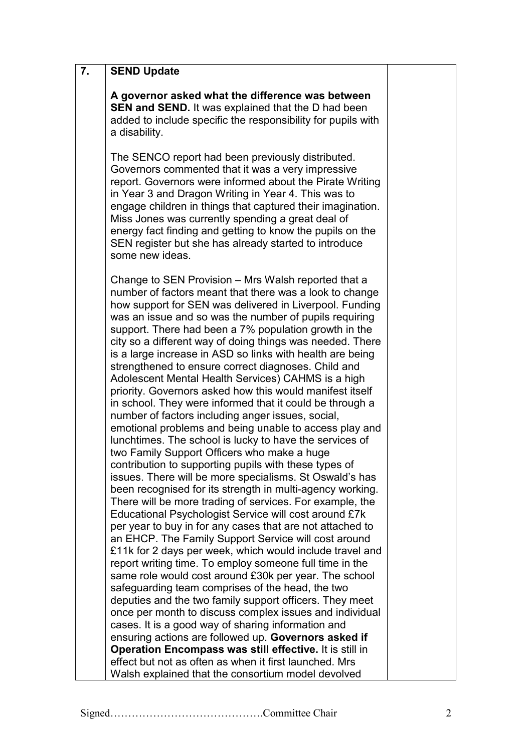| A governor asked what the difference was between<br>SEN and SEND. It was explained that the D had been<br>added to include specific the responsibility for pupils with<br>a disability.                                                                                                                                                                                                                                                                                                                                                                                                                                                                                                                                                                                                                                                                                                                                                                                                                                                                                                                                                                                                                                                                                                                                                                                                                                                                                                                                                                                                                                                                                                                                                                                                                                                            |                                                                              |
|----------------------------------------------------------------------------------------------------------------------------------------------------------------------------------------------------------------------------------------------------------------------------------------------------------------------------------------------------------------------------------------------------------------------------------------------------------------------------------------------------------------------------------------------------------------------------------------------------------------------------------------------------------------------------------------------------------------------------------------------------------------------------------------------------------------------------------------------------------------------------------------------------------------------------------------------------------------------------------------------------------------------------------------------------------------------------------------------------------------------------------------------------------------------------------------------------------------------------------------------------------------------------------------------------------------------------------------------------------------------------------------------------------------------------------------------------------------------------------------------------------------------------------------------------------------------------------------------------------------------------------------------------------------------------------------------------------------------------------------------------------------------------------------------------------------------------------------------------|------------------------------------------------------------------------------|
| The SENCO report had been previously distributed.<br>Governors commented that it was a very impressive<br>report. Governors were informed about the Pirate Writing<br>in Year 3 and Dragon Writing in Year 4. This was to<br>engage children in things that captured their imagination.<br>Miss Jones was currently spending a great deal of<br>energy fact finding and getting to know the pupils on the<br>SEN register but she has already started to introduce<br>some new ideas.                                                                                                                                                                                                                                                                                                                                                                                                                                                                                                                                                                                                                                                                                                                                                                                                                                                                                                                                                                                                                                                                                                                                                                                                                                                                                                                                                              |                                                                              |
| Change to SEN Provision – Mrs Walsh reported that a<br>number of factors meant that there was a look to change<br>how support for SEN was delivered in Liverpool. Funding<br>was an issue and so was the number of pupils requiring<br>support. There had been a 7% population growth in the<br>city so a different way of doing things was needed. There<br>is a large increase in ASD so links with health are being<br>strengthened to ensure correct diagnoses. Child and<br>Adolescent Mental Health Services) CAHMS is a high<br>priority. Governors asked how this would manifest itself<br>in school. They were informed that it could be through a<br>number of factors including anger issues, social,<br>emotional problems and being unable to access play and<br>lunchtimes. The school is lucky to have the services of<br>two Family Support Officers who make a huge<br>contribution to supporting pupils with these types of<br>issues. There will be more specialisms. St Oswald's has<br>been recognised for its strength in multi-agency working.<br>There will be more trading of services. For example, the<br>Educational Psychologist Service will cost around £7k<br>per year to buy in for any cases that are not attached to<br>an EHCP. The Family Support Service will cost around<br>£11k for 2 days per week, which would include travel and<br>report writing time. To employ someone full time in the<br>same role would cost around £30k per year. The school<br>safeguarding team comprises of the head, the two<br>deputies and the two family support officers. They meet<br>once per month to discuss complex issues and individual<br>cases. It is a good way of sharing information and<br>ensuring actions are followed up. Governors asked if<br>Operation Encompass was still effective. It is still in |                                                                              |
| Walsh explained that the consortium model devolved                                                                                                                                                                                                                                                                                                                                                                                                                                                                                                                                                                                                                                                                                                                                                                                                                                                                                                                                                                                                                                                                                                                                                                                                                                                                                                                                                                                                                                                                                                                                                                                                                                                                                                                                                                                                 |                                                                              |
|                                                                                                                                                                                                                                                                                                                                                                                                                                                                                                                                                                                                                                                                                                                                                                                                                                                                                                                                                                                                                                                                                                                                                                                                                                                                                                                                                                                                                                                                                                                                                                                                                                                                                                                                                                                                                                                    | <b>SEND Update</b><br>effect but not as often as when it first launched. Mrs |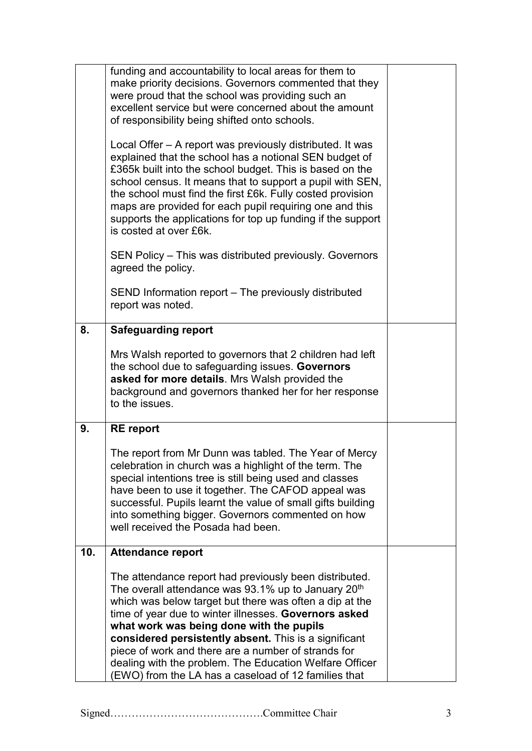|     | funding and accountability to local areas for them to<br>make priority decisions. Governors commented that they<br>were proud that the school was providing such an<br>excellent service but were concerned about the amount<br>of responsibility being shifted onto schools.<br>Local Offer – A report was previously distributed. It was<br>explained that the school has a notional SEN budget of<br>£365k built into the school budget. This is based on the<br>school census. It means that to support a pupil with SEN,<br>the school must find the first £6k. Fully costed provision<br>maps are provided for each pupil requiring one and this<br>supports the applications for top up funding if the support<br>is costed at over £6k.<br>SEN Policy – This was distributed previously. Governors<br>agreed the policy.<br>SEND Information report – The previously distributed |  |
|-----|------------------------------------------------------------------------------------------------------------------------------------------------------------------------------------------------------------------------------------------------------------------------------------------------------------------------------------------------------------------------------------------------------------------------------------------------------------------------------------------------------------------------------------------------------------------------------------------------------------------------------------------------------------------------------------------------------------------------------------------------------------------------------------------------------------------------------------------------------------------------------------------|--|
|     | report was noted.                                                                                                                                                                                                                                                                                                                                                                                                                                                                                                                                                                                                                                                                                                                                                                                                                                                                        |  |
| 8.  | <b>Safeguarding report</b>                                                                                                                                                                                                                                                                                                                                                                                                                                                                                                                                                                                                                                                                                                                                                                                                                                                               |  |
|     | Mrs Walsh reported to governors that 2 children had left<br>the school due to safeguarding issues. Governors<br>asked for more details. Mrs Walsh provided the<br>background and governors thanked her for her response<br>to the issues.                                                                                                                                                                                                                                                                                                                                                                                                                                                                                                                                                                                                                                                |  |
| 9.  | <b>RE</b> report                                                                                                                                                                                                                                                                                                                                                                                                                                                                                                                                                                                                                                                                                                                                                                                                                                                                         |  |
|     | The report from Mr Dunn was tabled. The Year of Mercy<br>celebration in church was a highlight of the term. The<br>special intentions tree is still being used and classes<br>have been to use it together. The CAFOD appeal was<br>successful. Pupils learnt the value of small gifts building<br>into something bigger. Governors commented on how<br>well received the Posada had been.                                                                                                                                                                                                                                                                                                                                                                                                                                                                                               |  |
| 10. | <b>Attendance report</b>                                                                                                                                                                                                                                                                                                                                                                                                                                                                                                                                                                                                                                                                                                                                                                                                                                                                 |  |
|     | The attendance report had previously been distributed.<br>The overall attendance was 93.1% up to January 20 <sup>th</sup><br>which was below target but there was often a dip at the<br>time of year due to winter illnesses. Governors asked<br>what work was being done with the pupils<br>considered persistently absent. This is a significant<br>piece of work and there are a number of strands for<br>dealing with the problem. The Education Welfare Officer<br>(EWO) from the LA has a caseload of 12 families that                                                                                                                                                                                                                                                                                                                                                             |  |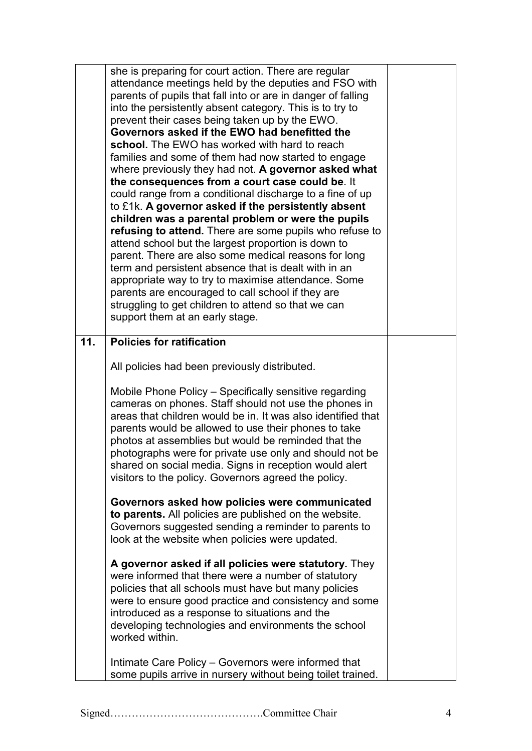|     | she is preparing for court action. There are regular<br>attendance meetings held by the deputies and FSO with<br>parents of pupils that fall into or are in danger of falling<br>into the persistently absent category. This is to try to<br>prevent their cases being taken up by the EWO.<br>Governors asked if the EWO had benefitted the<br>school. The EWO has worked with hard to reach<br>families and some of them had now started to engage<br>where previously they had not. A governor asked what<br>the consequences from a court case could be. It<br>could range from a conditional discharge to a fine of up<br>to £1k. A governor asked if the persistently absent<br>children was a parental problem or were the pupils<br>refusing to attend. There are some pupils who refuse to<br>attend school but the largest proportion is down to<br>parent. There are also some medical reasons for long<br>term and persistent absence that is dealt with in an<br>appropriate way to try to maximise attendance. Some<br>parents are encouraged to call school if they are<br>struggling to get children to attend so that we can<br>support them at an early stage. |  |
|-----|----------------------------------------------------------------------------------------------------------------------------------------------------------------------------------------------------------------------------------------------------------------------------------------------------------------------------------------------------------------------------------------------------------------------------------------------------------------------------------------------------------------------------------------------------------------------------------------------------------------------------------------------------------------------------------------------------------------------------------------------------------------------------------------------------------------------------------------------------------------------------------------------------------------------------------------------------------------------------------------------------------------------------------------------------------------------------------------------------------------------------------------------------------------------------------|--|
| 11. | <b>Policies for ratification</b>                                                                                                                                                                                                                                                                                                                                                                                                                                                                                                                                                                                                                                                                                                                                                                                                                                                                                                                                                                                                                                                                                                                                                 |  |
|     | All policies had been previously distributed.                                                                                                                                                                                                                                                                                                                                                                                                                                                                                                                                                                                                                                                                                                                                                                                                                                                                                                                                                                                                                                                                                                                                    |  |
|     | Mobile Phone Policy - Specifically sensitive regarding<br>cameras on phones. Staff should not use the phones in<br>areas that children would be in. It was also identified that<br>parents would be allowed to use their phones to take<br>photos at assemblies but would be reminded that the<br>photographs were for private use only and should not be<br>shared on social media. Signs in reception would alert<br>visitors to the policy. Governors agreed the policy.                                                                                                                                                                                                                                                                                                                                                                                                                                                                                                                                                                                                                                                                                                      |  |
|     | Governors asked how policies were communicated                                                                                                                                                                                                                                                                                                                                                                                                                                                                                                                                                                                                                                                                                                                                                                                                                                                                                                                                                                                                                                                                                                                                   |  |
|     | to parents. All policies are published on the website.<br>Governors suggested sending a reminder to parents to<br>look at the website when policies were updated.                                                                                                                                                                                                                                                                                                                                                                                                                                                                                                                                                                                                                                                                                                                                                                                                                                                                                                                                                                                                                |  |
|     | A governor asked if all policies were statutory. They<br>were informed that there were a number of statutory<br>policies that all schools must have but many policies<br>were to ensure good practice and consistency and some<br>introduced as a response to situations and the<br>developing technologies and environments the school<br>worked within.                                                                                                                                                                                                                                                                                                                                                                                                                                                                                                                                                                                                                                                                                                                                                                                                                        |  |
|     | Intimate Care Policy – Governors were informed that<br>some pupils arrive in nursery without being toilet trained.                                                                                                                                                                                                                                                                                                                                                                                                                                                                                                                                                                                                                                                                                                                                                                                                                                                                                                                                                                                                                                                               |  |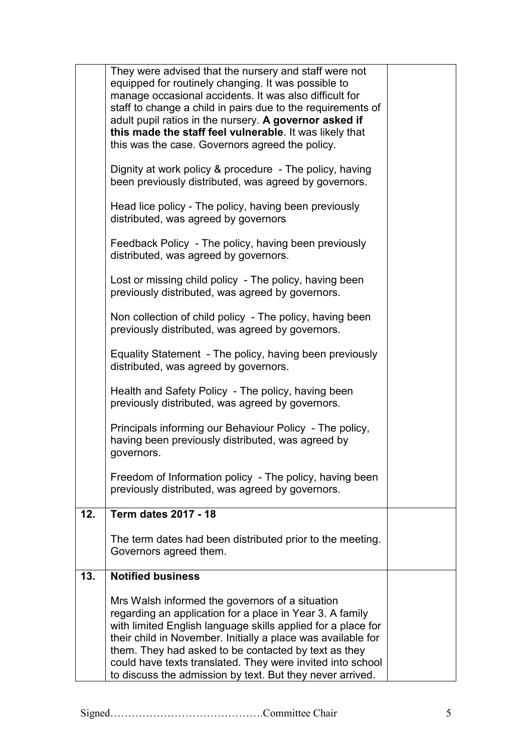|     | They were advised that the nursery and staff were not<br>equipped for routinely changing. It was possible to<br>manage occasional accidents. It was also difficult for<br>staff to change a child in pairs due to the requirements of           |  |
|-----|-------------------------------------------------------------------------------------------------------------------------------------------------------------------------------------------------------------------------------------------------|--|
|     | adult pupil ratios in the nursery. A governor asked if<br>this made the staff feel vulnerable. It was likely that<br>this was the case. Governors agreed the policy.                                                                            |  |
|     | Dignity at work policy & procedure - The policy, having<br>been previously distributed, was agreed by governors.                                                                                                                                |  |
|     | Head lice policy - The policy, having been previously<br>distributed, was agreed by governors                                                                                                                                                   |  |
|     | Feedback Policy - The policy, having been previously<br>distributed, was agreed by governors.                                                                                                                                                   |  |
|     | Lost or missing child policy - The policy, having been<br>previously distributed, was agreed by governors.                                                                                                                                      |  |
|     | Non collection of child policy - The policy, having been<br>previously distributed, was agreed by governors.                                                                                                                                    |  |
|     | Equality Statement - The policy, having been previously<br>distributed, was agreed by governors.                                                                                                                                                |  |
|     | Health and Safety Policy - The policy, having been<br>previously distributed, was agreed by governors.                                                                                                                                          |  |
|     | Principals informing our Behaviour Policy - The policy,<br>having been previously distributed, was agreed by<br>governors.                                                                                                                      |  |
|     | Freedom of Information policy - The policy, having been<br>previously distributed, was agreed by governors.                                                                                                                                     |  |
| 12. | <b>Term dates 2017 - 18</b>                                                                                                                                                                                                                     |  |
|     | The term dates had been distributed prior to the meeting.<br>Governors agreed them.                                                                                                                                                             |  |
| 13. | <b>Notified business</b>                                                                                                                                                                                                                        |  |
|     | Mrs Walsh informed the governors of a situation<br>regarding an application for a place in Year 3. A family<br>with limited English language skills applied for a place for                                                                     |  |
|     | their child in November. Initially a place was available for<br>them. They had asked to be contacted by text as they<br>could have texts translated. They were invited into school<br>to discuss the admission by text. But they never arrived. |  |